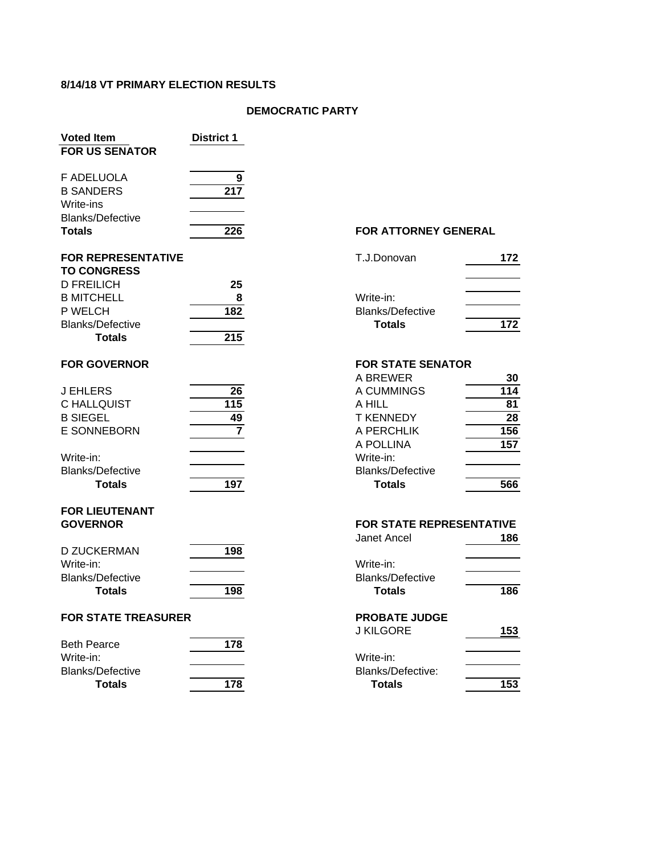## **8/14/18 VT PRIMARY ELECTION RESULTS**

#### **DEMOCRATIC PARTY**

| <b>Voted Item</b><br><b>FOR US SENATOR</b>                                                                                                       | <b>District 1</b>                                 |                                                                                                                                                                                                                                 |  |
|--------------------------------------------------------------------------------------------------------------------------------------------------|---------------------------------------------------|---------------------------------------------------------------------------------------------------------------------------------------------------------------------------------------------------------------------------------|--|
| F ADELUOLA<br><b>B SANDERS</b><br>Write-ins<br><b>Blanks/Defective</b><br><b>Totals</b>                                                          | 9<br>217<br>226                                   | <b>FOR ATTORNEY GENERAL</b>                                                                                                                                                                                                     |  |
| <b>FOR REPRESENTATIVE</b><br><b>TO CONGRESS</b><br><b>D FREILICH</b><br><b>B MITCHELL</b><br>P WELCH<br><b>Blanks/Defective</b><br><b>Totals</b> | 25<br>8<br>182<br>$\overline{215}$                | T.J.Donovan<br>172<br>Write-in:<br><b>Blanks/Defective</b><br><b>Totals</b><br>172                                                                                                                                              |  |
| <b>FOR GOVERNOR</b><br>J EHLERS<br>C HALLQUIST<br><b>B SIEGEL</b><br>E SONNEBORN<br>Write-in:<br><b>Blanks/Defective</b><br><b>Totals</b>        | 26<br>115<br>49<br>$\overline{\mathbf{7}}$<br>197 | <b>FOR STATE SENATOR</b><br>A BREWER<br>30<br>A CUMMINGS<br>114<br>$\overline{81}$<br>A HILL<br>28<br><b>T KENNEDY</b><br>156<br>A PERCHLIK<br>157<br>A POLLINA<br>Write-in:<br><b>Blanks/Defective</b><br>566<br><b>Totals</b> |  |
| <b>FOR LIEUTENANT</b><br><b>GOVERNOR</b><br>D ZUCKERMAN<br>Write-in:<br><b>Blanks/Defective</b><br><b>Totals</b>                                 | 198<br>198                                        | FOR STATE REPRESENTATIVE<br>Janet Ancel<br>186<br>Write-in:<br><b>Blanks/Defective</b><br>186<br><b>Totals</b>                                                                                                                  |  |
| <b>FOR STATE TREASURER</b><br><b>Beth Pearce</b><br>Write-in:<br><b>Blanks/Defective</b><br><b>Totals</b>                                        | 178<br>178                                        | <b>PROBATE JUDGE</b><br><b>J KILGORE</b><br><u>153</u><br>Write-in:<br>Blanks/Defective:<br>153<br><b>Totals</b>                                                                                                                |  |
|                                                                                                                                                  |                                                   |                                                                                                                                                                                                                                 |  |

### **FOR ATTORNEY GENERAL**

| T.J.Donovan      | 172 |
|------------------|-----|
|                  |     |
|                  |     |
| Write-in:        |     |
| Blanks/Defective |     |
| <b>Totals</b>    | 172 |

# **FOR STATE SENATOR**

| A BREWER                | 30  |
|-------------------------|-----|
| A CUMMINGS              | 114 |
| A HILL                  | 81  |
| T KENNEDY               | 28  |
| A PERCHLIK              | 156 |
| A POLLINA               | 157 |
| Write-in:               |     |
| <b>Blanks/Defective</b> |     |
| <b>Totals</b>           | 566 |
|                         |     |

# **FOR STATE REPRESENTATIVE**

| <b>KERMAN</b>             | 198 | Janet Ancel                                           | 186 |  |
|---------------------------|-----|-------------------------------------------------------|-----|--|
| ı:<br>Defective<br>Totals | 198 | Write-in:<br><b>Blanks/Defective</b><br><b>Totals</b> | 186 |  |
| <b>TATE TREASURER</b>     |     | <b>PROBATE JUDGE</b><br><b>J KILGORE</b>              | 153 |  |
| earce                     | 178 |                                                       |     |  |
| ı:<br>Defective           |     | Write-in:<br>Blanks/Defective:                        |     |  |
| Totals                    | 178 | <b>Totals</b>                                         | 153 |  |
|                           |     |                                                       |     |  |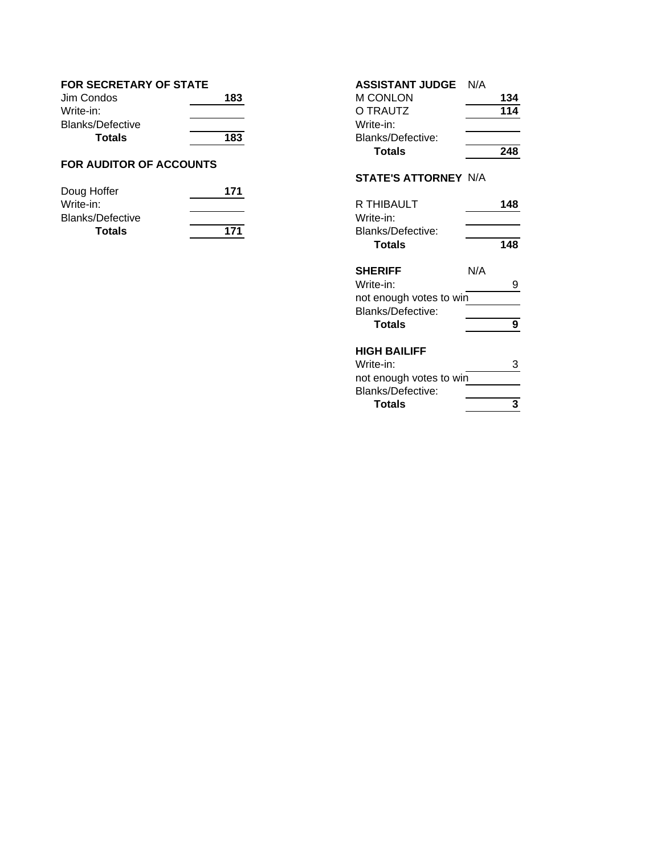# **FOR SECRETARY OF STATE**

| Jim Condos              | 183 | M CONLON          | 134 |
|-------------------------|-----|-------------------|-----|
| Write-in:               |     | O TRAUTZ          | 114 |
| <b>Blanks/Defective</b> |     | Write-in:         |     |
| Totals                  | 183 | Blanks/Defective: |     |

## **FOR AUDITOR OF ACCOUNTS**

| Doug Hoffer             | 171 |                   |     |
|-------------------------|-----|-------------------|-----|
| Write-in:               |     | R THIBAULT        | 148 |
| <b>Blanks/Defective</b> |     | Write-in:         |     |
| Totals                  | 171 | Blanks/Defective: |     |

| <b>ASSISTANT JUDGE N/A</b> |
|----------------------------|
| 134                        |
| 114                        |
|                            |
|                            |
| 248                        |
|                            |

# **STATE'S ATTORNEY** N/A

| R THIBAULT<br>Write-in: |     | 148 |  |
|-------------------------|-----|-----|--|
| Blanks/Defective:       |     |     |  |
| <b>Totals</b>           |     | 148 |  |
| <b>SHERIFF</b>          | N/A |     |  |
| Write-in:               |     | 9   |  |
| not enough votes to win |     |     |  |
| Blanks/Defective:       |     |     |  |
| Totals                  |     | 9   |  |
| <b>HIGH BAILIFF</b>     |     |     |  |
| Write-in:               |     | З   |  |
| not enough votes to win |     |     |  |
| Blanks/Defective:       |     |     |  |
| Totals                  |     |     |  |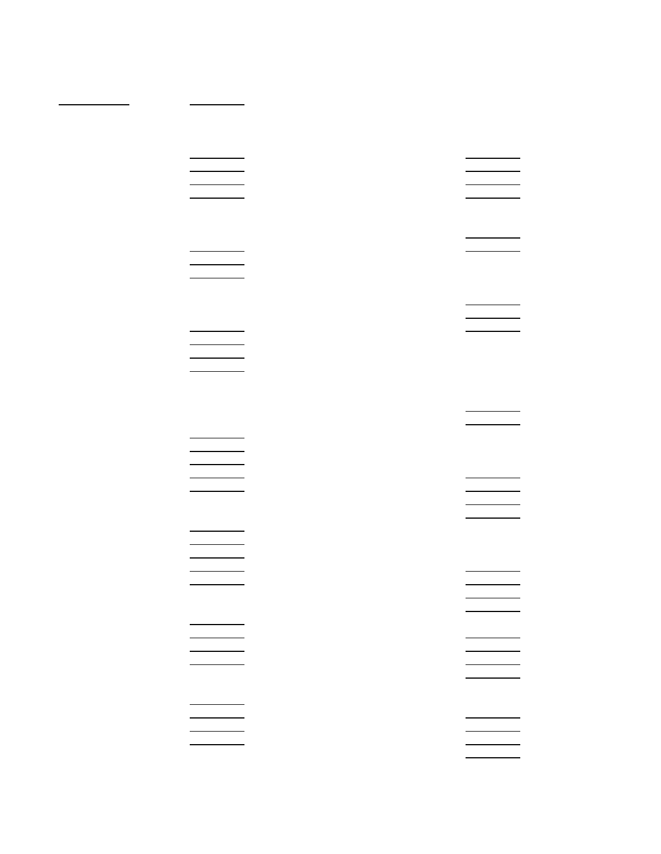$\begin{tabular}{|c|c|c|} \hline \quad \quad & \quad \quad & \quad \quad \\ \hline \quad \quad & \quad \quad & \quad \quad \\ \hline \quad \quad & \quad \quad & \quad \quad \\ \hline \quad \quad & \quad \quad & \quad \quad \\ \hline \quad \quad & \quad \quad & \quad \quad \\ \hline \quad \quad & \quad \quad & \quad \quad \\ \hline \quad \quad & \quad \quad & \quad \quad \\ \hline \quad \quad & \quad \quad & \quad \quad \\ \hline \quad \quad & \quad \quad & \quad \quad \\ \hline \quad \quad & \quad \quad & \quad \quad \\ \hline \quad \quad & \quad \quad & \quad \quad \\ \hline \quad \quad &$  $\equiv$  $\frac{1}{\sqrt{1-\frac{1}{2}}\left(1-\frac{1}{2}\right)}$  $\overline{\phantom{a}}$  $\begin{tabular}{|c|c|c|c|} \hline \quad \quad & \quad \quad & \quad \quad \\ \hline \quad \quad & \quad \quad & \quad \quad \\ \hline \quad \quad & \quad \quad & \quad \quad \\ \hline \quad \quad & \quad \quad & \quad \quad \\ \hline \quad \quad & \quad \quad & \quad \quad \\ \hline \quad \quad & \quad \quad & \quad \quad \\ \hline \end{tabular}$  $\begin{tabular}{|c|c|c|} \hline \quad \quad & \quad \quad & \quad \quad \\ \hline \quad \quad & \quad \quad & \quad \quad \\ \hline \quad \quad & \quad \quad & \quad \quad \\ \hline \quad \quad & \quad \quad & \quad \quad \\ \hline \quad \quad & \quad \quad & \quad \quad \\ \hline \quad \quad & \quad \quad & \quad \quad \\ \hline \quad \quad & \quad \quad & \quad \quad \\ \hline \quad \quad & \quad \quad & \quad \quad \\ \hline \quad \quad & \quad \quad & \quad \quad \\ \hline \quad \quad & \quad \quad & \quad \quad \\ \hline \quad \quad & \quad \quad & \quad \quad \\ \hline \quad \quad &$  $\begin{tabular}{|c|c|c|} \hline \quad \quad & \quad \quad & \quad \quad \\ \hline \quad \quad & \quad \quad & \quad \quad \\ \hline \quad \quad & \quad \quad & \quad \quad \\ \hline \quad \quad & \quad \quad & \quad \quad \\ \hline \quad \quad & \quad \quad & \quad \quad \\ \hline \quad \quad & \quad \quad & \quad \quad \\ \hline \quad \quad & \quad \quad & \quad \quad \\ \hline \quad \quad & \quad \quad & \quad \quad \\ \hline \quad \quad & \quad \quad & \quad \quad \\ \hline \quad \quad & \quad \quad & \quad \quad \\ \hline \quad \quad & \quad \quad & \quad \quad \\ \hline \quad \quad &$  $\begin{tabular}{|c|c|c|} \hline \quad \quad & \quad \quad & \quad \quad \\ \hline \quad \quad & \quad \quad & \quad \quad \\ \hline \quad \quad & \quad \quad & \quad \quad \\ \hline \quad \quad & \quad \quad & \quad \quad \\ \hline \quad \quad & \quad \quad & \quad \quad \\ \hline \end{tabular}$  $\begin{tabular}{|c|c|c|c|} \hline \quad \quad & \quad \quad & \quad \quad & \quad \quad \\ \hline \quad \quad & \quad \quad & \quad \quad & \quad \quad \\ \hline \quad \quad & \quad \quad & \quad \quad & \quad \quad \\ \hline \quad \quad & \quad \quad & \quad \quad & \quad \quad \\ \hline \quad \quad & \quad \quad & \quad \quad & \quad \quad \\ \hline \end{tabular}$  $\begin{tabular}{|c|c|c|c|} \hline \quad \quad & \quad \quad & \quad \quad & \quad \quad \\ \hline \quad \quad & \quad \quad & \quad \quad & \quad \quad \\ \hline \quad \quad & \quad \quad & \quad \quad & \quad \quad \\ \hline \quad \quad & \quad \quad & \quad \quad & \quad \quad \\ \hline \quad \quad & \quad \quad & \quad \quad & \quad \quad \\ \hline \end{tabular}$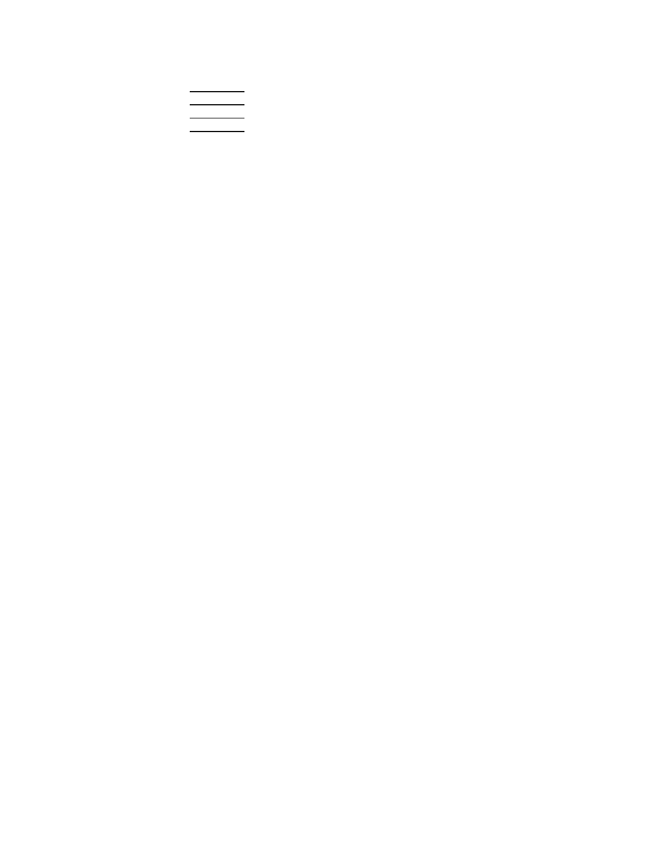J.  $\begin{tabular}{c} \multicolumn{2}{c} {\textbf{1}} & \multicolumn{2}{c} {\textbf{1}} & \multicolumn{2}{c} {\textbf{1}} \\ \multicolumn{2}{c} {\textbf{1}} & \multicolumn{2}{c} {\textbf{1}} & \multicolumn{2}{c} {\textbf{1}} \\ \multicolumn{2}{c} {\textbf{1}} & \multicolumn{2}{c} {\textbf{1}} & \multicolumn{2}{c} {\textbf{1}} \\ \multicolumn{2}{c} {\textbf{1}} & \multicolumn{2}{c} {\textbf{1}} & \multicolumn{2}{c} {\textbf{1}} \\ \multicolumn{2}{c} {\textbf{1}} & \multicolumn$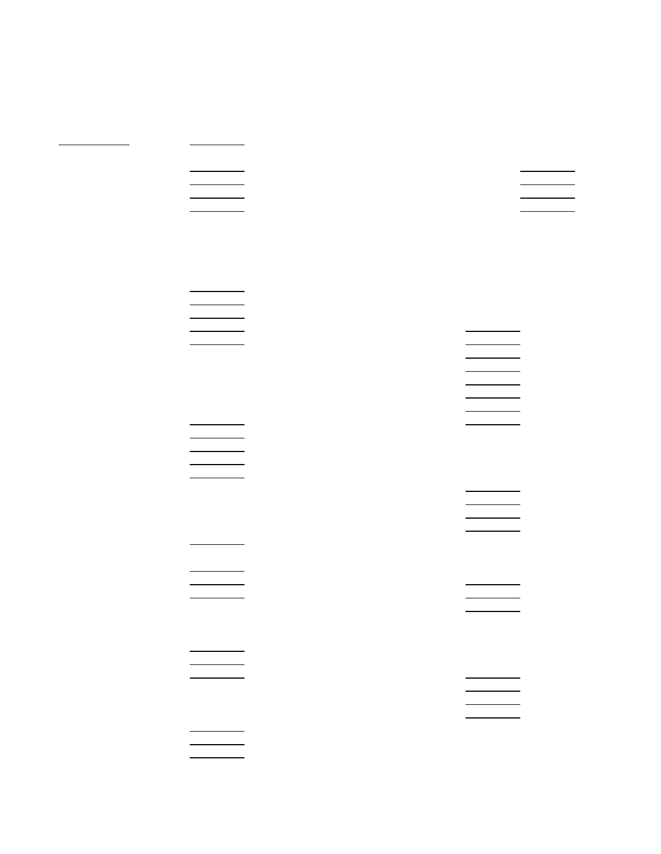$\begin{tabular}{|c|c|c|} \hline \quad \quad & \quad \quad & \quad \quad \\ \hline \quad \quad & \quad \quad & \quad \quad \\ \hline \quad \quad & \quad \quad & \quad \quad \\ \hline \quad \quad & \quad \quad & \quad \quad \\ \hline \quad \quad & \quad \quad & \quad \quad \\ \hline \quad \quad & \quad \quad & \quad \quad \\ \hline \quad \quad & \quad \quad & \quad \quad \\ \hline \quad \quad & \quad \quad & \quad \quad \\ \hline \quad \quad & \quad \quad & \quad \quad \\ \hline \quad \quad & \quad \quad & \quad \quad \\ \hline \quad \quad & \quad \quad & \quad \quad \\ \hline \quad \quad &$  $\begin{tabular}{|c|c|c|c|} \hline \quad \quad & \quad \quad & \quad \quad \\ \hline \quad \quad & \quad \quad & \quad \quad \\ \hline \quad \quad & \quad \quad & \quad \quad \\ \hline \quad \quad & \quad \quad & \quad \quad \\ \hline \quad \quad & \quad \quad & \quad \quad \\ \hline \quad \quad & \quad \quad & \quad \quad \\ \hline \quad \quad & \quad \quad & \quad \quad \\ \hline \quad \quad & \quad \quad & \quad \quad \\ \hline \quad \quad & \quad \quad & \quad \quad \\ \hline \quad \quad & \quad \quad & \quad \quad \\ \hline \quad \quad & \quad \quad & \quad \quad \\ \hline \quad \$  $\equiv$ ————<br>————<br>————  $\begin{tabular}{|c|c|c|} \hline \quad \quad & \quad \quad & \quad \quad \\ \hline \quad \quad & \quad \quad & \quad \quad \\ \hline \quad \quad & \quad \quad & \quad \quad \\ \hline \quad \quad & \quad \quad & \quad \quad \\ \hline \quad \quad & \quad \quad & \quad \quad \\ \hline \quad \quad & \quad \quad & \quad \quad \\ \hline \quad \quad & \quad \quad & \quad \quad \\ \hline \quad \quad & \quad \quad & \quad \quad \\ \hline \quad \quad & \quad \quad & \quad \quad \\ \hline \quad \quad & \quad \quad & \quad \quad \\ \hline \quad \quad & \quad \quad & \quad \quad \\ \hline \quad \quad &$  $\equiv$  $\begin{tabular}{|c|c|c|} \hline \quad \quad & \quad \quad & \quad \quad \\ \hline \quad \quad & \quad \quad & \quad \quad \\ \hline \quad \quad & \quad \quad & \quad \quad \\ \hline \quad \quad & \quad \quad & \quad \quad \\ \hline \quad \quad & \quad \quad & \quad \quad \\ \hline \quad \quad & \quad \quad & \quad \quad \\ \hline \quad \quad & \quad \quad & \quad \quad \\ \hline \quad \quad & \quad \quad & \quad \quad \\ \hline \quad \quad & \quad \quad & \quad \quad \\ \hline \quad \quad & \quad \quad & \quad \quad \\ \hline \quad \quad & \quad \quad & \quad \quad \\ \hline \quad \quad &$  $\begin{tabular}{|c|c|c|} \hline \quad \quad & \quad \quad & \quad \quad \\ \hline \quad \quad & \quad \quad & \quad \quad \\ \hline \quad \quad & \quad \quad & \quad \quad \\ \hline \quad \quad & \quad \quad & \quad \quad \\ \hline \quad \quad & \quad \quad & \quad \quad \\ \hline \quad \quad & \quad \quad & \quad \quad \\ \hline \quad \quad & \quad \quad & \quad \quad \\ \hline \quad \quad & \quad \quad & \quad \quad \\ \hline \quad \quad & \quad \quad & \quad \quad \\ \hline \quad \quad & \quad \quad & \quad \quad \\ \hline \quad \quad & \quad \quad & \quad \quad \\ \hline \quad \quad &$  $\begin{tabular}{|c|c|c|c|} \hline \quad \quad & \quad \quad & \quad \quad \\ \hline \quad \quad & \quad \quad & \quad \quad \\ \hline \quad \quad & \quad \quad & \quad \quad \\ \hline \quad \quad & \quad \quad & \quad \quad \\ \hline \quad \quad & \quad \quad & \quad \quad \\ \hline \quad \quad & \quad \quad & \quad \quad \\ \hline \end{tabular}$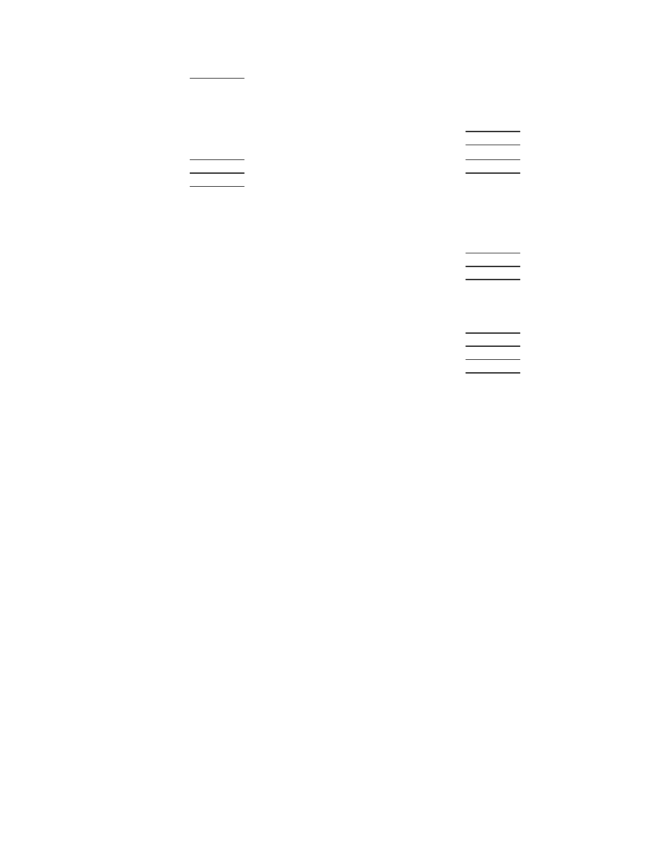$\begin{tabular}{|c|c|c|} \hline \quad \quad & \quad \quad & \quad \quad \\ \hline \quad \quad & \quad \quad & \quad \quad \\ \hline \quad \quad & \quad \quad & \quad \quad \\ \hline \quad \quad & \quad \quad & \quad \quad \\ \hline \quad \quad & \quad \quad & \quad \quad \\ \hline \quad \quad & \quad \quad & \quad \quad \\ \hline \quad \quad & \quad \quad & \quad \quad \\ \hline \quad \quad & \quad \quad & \quad \quad \\ \hline \quad \quad & \quad \quad & \quad \quad \\ \hline \quad \quad & \quad \quad & \quad \quad \\ \hline \quad \quad & \quad \quad & \quad \quad \\ \hline \quad \quad &$ 

 $\blacksquare$ 

 $\begin{tabular}{|c|c|c|c|} \hline \quad \quad & \quad \quad & \quad \quad \\ \hline \quad \quad & \quad \quad & \quad \quad \\ \hline \quad \quad & \quad \quad & \quad \quad \\ \hline \quad \quad & \quad \quad & \quad \quad \\ \hline \quad \quad & \quad \quad & \quad \quad \\ \hline \quad \quad & \quad \quad & \quad \quad \\ \hline \quad \quad & \quad \quad & \quad \quad \\ \hline \quad \quad & \quad \quad & \quad \quad \\ \hline \quad \quad & \quad \quad & \quad \quad \\ \hline \quad \quad & \quad \quad & \quad \quad \\ \hline \quad \quad & \quad \quad & \quad \quad \\ \hline \quad \$ 

 $\equiv$